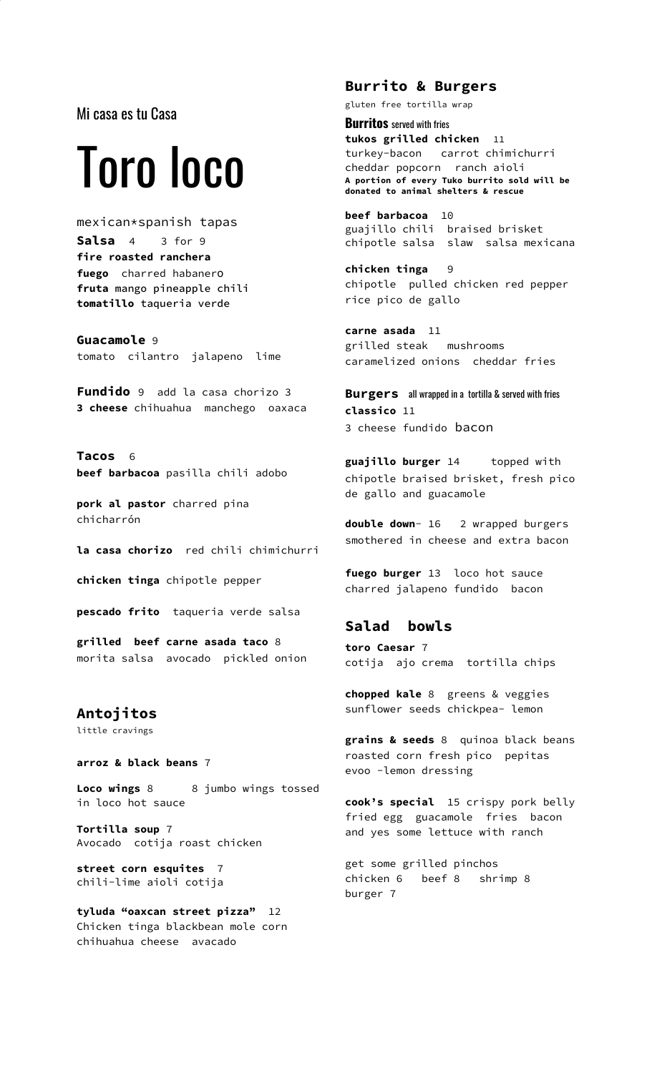Mi casa es tu Casa

# Toro loco

mexican\*spanish tapas **Salsa** 4 3 for 9 **fire roasted ranchera fuego** charred habanero **fruta** mango pineapple chili **tomatillo** taqueria verde

**Guacamole** 9 tomato cilantro jalapeno lime

**Fundido** 9 add la casa chorizo 3 **3 cheese** chihuahua manchego oaxaca

**Tacos** 6 **beef barbacoa** pasilla chili adobo

**pork al pastor** charred pina chicharrón

**la casa chorizo** red chili chimichurri

**chicken tinga** chipotle pepper

**pescado frito** taqueria verde salsa

**grilled beef carne asada taco** 8 morita salsa avocado pickled onion

**Antojitos** little cravings

**arroz & black beans** 7

Loco wings 8 8 jumbo wings tossed in loco hot sauce

**Tortilla soup** 7 Avocado cotija roast chicken

**street corn esquites** 7 chili-lime aioli cotija

**tyluda "oaxcan street pizza"** 12 Chicken tinga blackbean mole corn chihuahua cheese avacado

## **Burrito & Burgers**

gluten free tortilla wrap

**Burritos** served with fries **tukos grilled chicken** 11 turkey-bacon carrot chimichurri cheddar popcorn ranch aioli **A portion of every Tuko burrito sold will be donated to animal shelters & rescue**

**beef barbacoa** 10 guajillo chili braised brisket chipotle salsa slaw salsa mexicana

**chicken tinga** 9 chipotle pulled chicken red pepper rice pico de gallo

**carne asada** 11 grilled steak mushrooms caramelized onions cheddar fries

**Burgers** all wrapped in a tortilla & served with fries **classico** 11 3 cheese fundido bacon

**guajillo burger** 14 topped with chipotle braised brisket, fresh pico de gallo and guacamole

**double down**- 16 2 wrapped burgers smothered in cheese and extra bacon

**fuego burger** 13 loco hot sauce charred jalapeno fundido bacon

### **Salad bowls**

**toro Caesar** 7 cotija ajo crema tortilla chips

**chopped kale** 8 greens & veggies sunflower seeds chickpea- lemon

**grains & seeds** 8 quinoa black beans roasted corn fresh pico pepitas evoo -lemon dressing

**cook's special** 15 crispy pork belly fried egg guacamole fries bacon and yes some lettuce with ranch

get some grilled pinchos chicken 6 beef 8 shrimp 8 burger 7